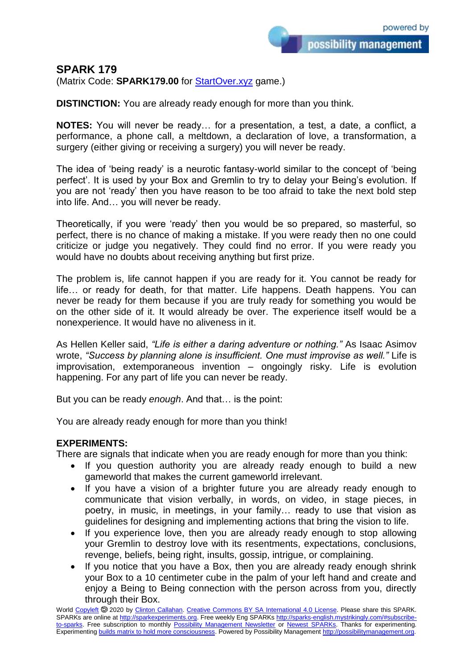## **SPARK 179**

(Matrix Code: **SPARK179.00** for **StartOver.xyz** game.)

**DISTINCTION:** You are already ready enough for more than you think.

**NOTES:** You will never be ready… for a presentation, a test, a date, a conflict, a performance, a phone call, a meltdown, a declaration of love, a transformation, a surgery (either giving or receiving a surgery) you will never be ready.

The idea of 'being ready' is a neurotic fantasy-world similar to the concept of 'being perfect'. It is used by your Box and Gremlin to try to delay your Being's evolution. If you are not 'ready' then you have reason to be too afraid to take the next bold step into life. And… you will never be ready.

Theoretically, if you were 'ready' then you would be so prepared, so masterful, so perfect, there is no chance of making a mistake. If you were ready then no one could criticize or judge you negatively. They could find no error. If you were ready you would have no doubts about receiving anything but first prize.

The problem is, life cannot happen if you are ready for it. You cannot be ready for life… or ready for death, for that matter. Life happens. Death happens. You can never be ready for them because if you are truly ready for something you would be on the other side of it. It would already be over. The experience itself would be a nonexperience. It would have no aliveness in it.

As Hellen Keller said, *"Life is either a daring adventure or nothing."* As Isaac Asimov wrote, *"Success by planning alone is insufficient. One must improvise as well."* Life is improvisation, extemporaneous invention – ongoingly risky. Life is evolution happening. For any part of life you can never be ready.

But you can be ready *enough*. And that… is the point:

You are already ready enough for more than you think!

## **EXPERIMENTS:**

There are signals that indicate when you are ready enough for more than you think:

- If you question authority you are already ready enough to build a new gameworld that makes the current gameworld irrelevant.
- If you have a vision of a brighter future you are already ready enough to communicate that vision verbally, in words, on video, in stage pieces, in poetry, in music, in meetings, in your family… ready to use that vision as guidelines for designing and implementing actions that bring the vision to life.
- If you experience love, then you are already ready enough to stop allowing your Gremlin to destroy love with its resentments, expectations, conclusions, revenge, beliefs, being right, insults, gossip, intrigue, or complaining.
- If you notice that you have a Box, then you are already ready enough shrink your Box to a 10 centimeter cube in the palm of your left hand and create and enjoy a Being to Being connection with the person across from you, directly through their Box.